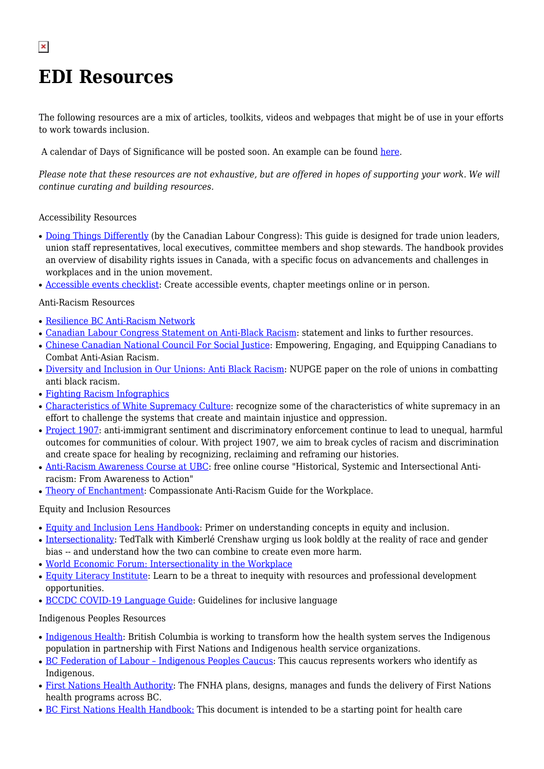# **EDI Resources**

 $\pmb{\times}$ 

The following resources are a mix of articles, toolkits, videos and webpages that might be of use in your efforts to work towards inclusion.

A calendar of Days of Significance will be posted soon. An example can be found [here](https://hds.harvard.edu/life-at-hds/religious-and-spiritual-life/multifaith-calendar).

*Please note that these resources are not exhaustive, but are offered in hopes of supporting your work. We will continue curating and building resources.*

## Accessibility Resources

- [Doing Things Differently](https://canadianlabour.ca/doing-things-differently-guide/) (by the Canadian Labour Congress): This guide is designed for trade union leaders, union staff representatives, local executives, committee members and shop stewards. The handbook provides an overview of disability rights issues in Canada, with a specific focus on advancements and challenges in workplaces and in the union movement.
- [Accessible events checklist](http://www.accessiblecampus.ca/wp-content/uploads/2016/12/A-Checklist-for-Planning-Accessible-Events-1.pdf): Create accessible events, chapter meetings online or in person.

#### Anti-Racism Resources

- [Resilience BC Anti-Racism Network](https://www.resiliencebc.ca/learn-more-about-racism/anti-racism-tools/)
- [Canadian Labour Congress Statement on Anti-Black Racism:](https://canadianlabour.ca/anti-black-racism-runs-deep-but-so-does-our-commitment-towards-combatting-it/) statement and links to further resources.
- [Chinese Canadian National Council For Social Justice](https://ccncsj.ca/): Empowering, Engaging, and Equipping Canadians to Combat Anti-Asian Racism.
- [Diversity and Inclusion in Our Unions: Anti Black Racism](https://nupge.ca/sites/default/files/documents/Anti-Black%20Racism.pdf): NUPGE paper on the role of unions in combatting anti black racism.
- [Fighting Racism Infographics](https://ccncsj.ca/infographics/)
- [Characteristics of White Supremacy Culture:](https://www.whitesupremacyculture.info/characteristics.html) recognize some of the characteristics of white supremacy in an effort to challenge the systems that create and maintain injustice and oppression.
- [Project 1907](https://www.project1907.org/): anti-immigrant sentiment and discriminatory enforcement continue to lead to unequal, harmful outcomes for communities of colour. With project 1907, we aim to break cycles of racism and discrimination and create space for healing by recognizing, reclaiming and reframing our histories.
- [Anti-Racism Awareness Course at UBC](https://pdce.educ.ubc.ca/anti-racism-awareness/): free online course "Historical, Systemic and Intersectional Antiracism: From Awareness to Action"
- [Theory of Enchantment:](https://theoryofenchantment.com/about/) Compassionate Anti-Racism Guide for the Workplace.

#### Equity and Inclusion Resources

- [Equity and Inclusion Lens Handbook](https://www.cawi-ivtf.org/sites/default/files/publications/ei-lens-handbook-2015_0.pdf): Primer on understanding concepts in equity and inclusion.
- [Intersectionality](https://www.ted.com/talks/kimberle_crenshaw_the_urgency_of_intersectionality?language=en): TedTalk with Kimberlé Crenshaw urging us look boldly at the reality of race and gender bias -- and understand how the two can combine to create even more harm.
- [World Economic Forum: Intersectionality in the Workplace](https://www.weforum.org/agenda/2020/07/diversity-inclusion-equality-intersectionality/)
- [Equity Literacy Institute:](https://www.equityliteracy.org/educational-equity-resources) Learn to be a threat to inequity with resources and professional development opportunities.
- [BCCDC COVID-19 Language Guide](http://www.bccdc.ca/Health-Info-Site/Documents/Language-guide.pdf): Guidelines for inclusive language

#### Indigenous Peoples Resources

- [Indigenous Health](https://www2.gov.bc.ca/gov/content/governments/indigenous-people/supporting-communities/health): British Columbia is working to transform how the health system serves the Indigenous population in partnership with First Nations and Indigenous health service organizations.
- BC Federation of Labour Indigenous Peoples Caucus: This caucus represents workers who identify as Indigenous.
- [First Nations Health Authority:](https://www.fnha.ca/) The FNHA plans, designs, manages and funds the delivery of First Nations health programs across BC.
- [BC First Nations Health Handbook](https://www.islandhealth.ca/sites/default/files/2018-05/first-nations-health-guide.pdf)[:](file:///C:/Users/kriecken/AppData/Local/Microsoft/Windows/INetCache/Content.Outlook/2FQZ74M3/%E2%80%A2%09%20https:/www.islandhealth.ca/sites/default/files/2018-05/first-nations-health-guide.pdf) This document is intended to be a starting point for health care